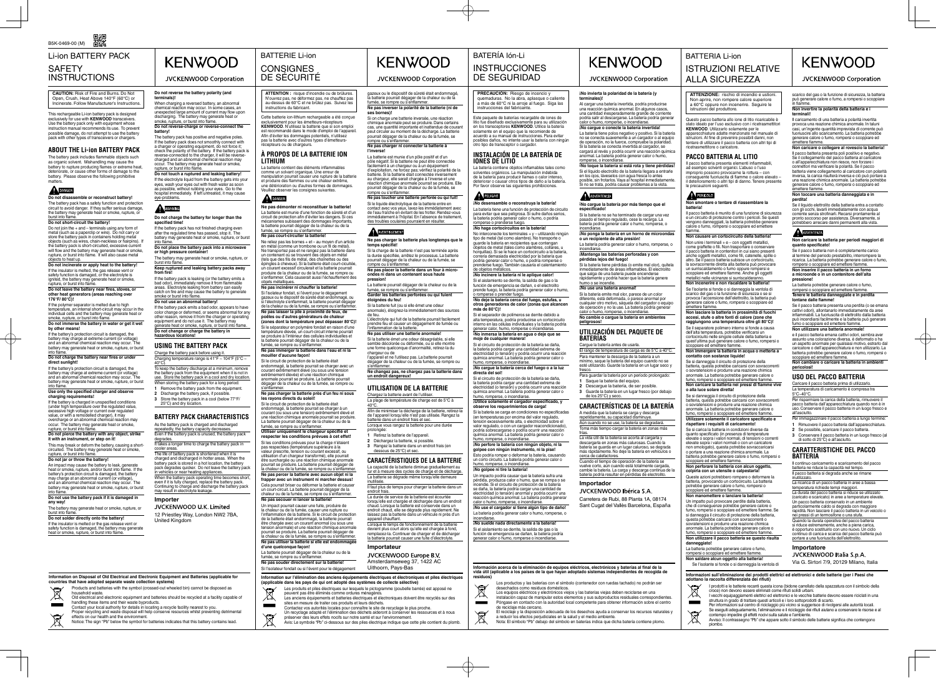BATERÍA Ión-Li **KENWOOD INSTRUCCIONES** 

JVCKENWOOD Corporation

BATTERIE Li-ion **CONSIGNES** DE SÉCURITÉ

DE SEGURIDAD

## BATTERIA Li-ion ISTRUZIONI RELATIVE ALLA SICUREZZA

**Information on Disposal of Old Electrical and Electronic Equipment and Batteries (applicable for countries that have adopted separate waste collection systems)**  Products and batteries with the symbol (crossed-out wheeled bin) cannot be disposed as

household waste.

 $\boxtimes$ 

 $\mathbf{r}$ 

 $\boxtimes$ 

## **KENWOOD** JVCKENWOOD Corporation

Old electrical and electronic equipment and batteries should be recycled at a facility capable of handling these items and their waste byproducts. Contact your local authority for details in locating a recycle facility nearest to you. Proper recycling and waste disposal will help conserve resources whilst preventing detrimental effects on our health and the environment. Notice: The sign "Pb" below the symbol for batteries indicates that this battery contains lead.

## **À PROPOS DE LA BATTERIE ION LITHIUM**<br>La batterie contient des éléments inflammables

La batterie contient des éléments inflammables<br>comme un solvant organique. Une erreur de<br>manipulation pourrait causer une rupture de la batterie<br>et produire des flammes ou une chaleur extrême, une détérioration ou d'autres formes de dommages. Veuillez observer les consignes suivantes.

**Ne pas démonter ni reconstituer la batterie!** La batterie est munie d'une fonction de sûreté et d'un circuit de protection afin d'éviter les dangers. Si ces mécanismes subissent des dommages importants,<br>la batterie pourrait dégager de la chaleur ou de la<br>fumée, se rompre ou s'enflammer.

### DANGER

**ATTENTION :** risque d'incendie ou de brûlures. N'ouvrez pas, ne déformez pas, ne chauffez pas au-dessus de 60°C et ne brûlez pas. Suivez les instructions du fabricant.

Ne reliez pas les bornes + et – au moyen d'un article en métal (comme un trombone ou un fi l de métal). Ne transportez pas et ne rangez pas la batterie dans un contenant où se trouvent des objets en métal (tels que des fi ls de métal, des chaînettes ou des épingles à cheveux). Si la batterie était court-cicuitée, un courant excessif circulerait et la batterie pourrait produire de la chaleur ou de la fumée, se rompre ou s'enflammer. Cela causerait aussi l'échauffement des objets métalliques.

Cette batterie ion-lithium rechargeable a été conçue exclusivement pour les émetteurs-récepteurs<br>KENWOOD. N'utilisez la batterie que si son emploi<br>est recommandé dans le mode d'emploi de l'appareil.<br>Afin d'éviter les dommages potentiels, n'utilisez<br>pas la batterie avec d'aut récepteurs ou de chargeurs.

Si l'isolateur fondait, si l'évent pour le dégagement gazeux ou le dispositif de sûreté était endommagé, ou si l'électrolyte s'enflammait, la batterie pourrait dégager de la chaleur ou de la fumée, se rompre ou s'enflame **Ne pas laisser la pile à proximité de feux, de** 

Si le circuit de protection de la batterie était endommagé, la batterie pourrait se charger avec un courant extrêmement élevé (ou sous une tension extrêmement élevée) et une réaction chimique anormale pourrait se produire. La batterie pourrait dégager de la chaleur ou de la fumée, se rompre ou s'enflammer.

#### **Ne pas court-circuiter la batterie!**

Utiliser uniquement le chargeur spécifié et<br>respecter les conditions prévues à cet effet! Si les conditions prévues pour la charge n'étaient pas respectées (température supérieure à la valeur prescrite, tension ou courant excessif, ou utilisation d'un chargeur transformé), elle pourrait être surchargée ou une réaction chimique anormale pourrait se produire. La batterie pourrait dégager de la chaleur ou de la fumée, se rompre ou s'enfl ammer.

**Ne pas percer la batterie avec aucun objet ni la frapper avec un instrument ni marcher dessus!** Cela pourrait briser ou déformer la batterie et causer un court-circuit. La batterie pourrait dégager de la<br>chaleur ou de la fumée, se rompre ou s'enflammer.

#### **Ne pas incinérer ni chauff er la batterie!**

**d'une quelconque façon!** La batterie pourrait dégager de la chaleur ou de la<br>fumée, se rompre ou s'enflammer.

**Ne pas souder directement sur la batterie!** Si l'isolateur fondait ou si l'évent pour le dégagement

## Information sur l'élimination des anciens équipements électriques et électroniques et piles électriques<br>(applicable dans les pays de qui ont adopté des systèmes de collecte sélective)

This rechargeable Li-ion battery pack is designed exclusively for use with **KENWOOD** transceivers. Use the battery pack only with equipment whose instruction manual recommends its use. To prevent possible damage, do not attempt to use the battery pack with other types of transceivers or chargers.

The battery pack includes flammable objects such as organic solvent. Mishandling may cause the<br>battery to rupture producing flames or extreme heat, deteriorate, or cause other forms of damage to the battery. Please observe the following prohibitive matters.

## DANGER

**poêles ou d'autres générateurs de chaleur (zones dont la température peut dépasser 80°C)!** Si le séparateur en polymère fondait en raison d'une température élevée, un court-circuit interne pourrait se produire à l'intérieur des cellules individuelles et la batterie pourrait dégager de la chaleur ou de la fumée, se rompre ou s'enflammer. **Ne pas immerger la batterie dans l'eau et ni la mouiller d'aucune façon!**

Do not join the + and – terminals using any form of metal (such as a paperclip or wire). Do not carry or store the battery pack in containers holding metal objects (such as wires, chain-neckless or hairpins). If the battery pack is short-circuited, excessive current will flow and the battery may generate heat or smoke,<br>rupture, or burst into flame. It will also cause metal objects to heat up.

> **Ne pas charger la batterie près d'un feu ni sous les rayons directs du soleil!** Si le circuit de protection de la batterie était

endommagé, la batterie pourrait se charger à un<br>courant (ou sous une tension) extrêmement élevé et<br>une réaction chimique anormale pourrait se produire.<br>La batterie pourrait dégager de la chaleur ou de la<br>fumée, se rompre o

If the battery's protection circuit is damaged, the battery may charge at extreme current (or voltage) and an abnormal chemical reaction may occur. The battery may generate heat or smoke, rupture, or burst into fl ame. **Do not charge the battery near fires or under** 

If the battery's protection circuit is damaged, the battery may charge at extreme current (or voltage)<br>and an abnormal chemical reaction may occur. The<br>battery may generate heat or smoke, rupture, or burst<br>into flame.

## Use only the specified charger and observe<br>charging requirements!

If the battery is charged in unspecified conditions<br>(under high temperature over the regulated value,<br>excessive high voltage or current over regulated<br>value, or with a remodelled charger), it may overcharge or an abnormal chemical reaction may occur. The battery may generate heat or smoke, rupture, or burst into flam

This may break or deform the battery, causing a shortcircuited. The battery may generate heat or smoke,<br>rupture, or burst into flame.<br>**Do not jar or throw the battery!** 

An impact may cause the battery to leak, generate<br>heat or smoke, rupture, and/or burst into flame. If the battery's protection circuit is damaged, the battery may charge at an abnormal current (or voltage) and an abnormal chemical reaction may occur. The battery may generate heat or smoke, rupture, or burst into flame

The battery may generate heat or smoke, rupture, or burst into flame.<br>**Do not solder directly onto the battery!** 

If the insulator is melted or the gas release vent or safety function is damaged, the battery may generate heat or smoke, rupture, or burst into flame.

#### zeux ou le dispositif de sûreté était endomm la batterie pourrait dégager de la chaleur ou de la fumée, se rompre ou s'enfl ammer. **Ne pas inverser la polarité de la batterie (ni de ses bornes)!**

## pourrait dégager de la chaleur ou de la fumée, se<br>rompre ou s'enflammer. **Ne pas charger ni connecter la batterie à**

**l'inverse!**<br>La batterie est munie d'un pôle positif et d'un La batterie est munie d'un pôle positif et d'un<br>pôle négatif. Si la batterie ne peut être connectée<br>facilement à un chargeur ou à un équipement<br>d'exploitation, ne forcez pas; vérifiez la polarité de la<br>batterie. Si la batt réaction chimique anormale pourrait se produire. Elle pourrait dégager de la chaleur ou de la fumée, se nnre ou s'enflammer

**Ne pas secouer ni lancer la batterie!** Un impact pourrait causer une fuite, produire de la chaleur ou de la fumée, causer une rupture ou l'infl ammation de la batterie. Si le circuit de protection de la batterie était endommagé, la batterie pourrait être chargée avec un courant anormal (ou sous une tension anormale) et une réaction chimique anormale pourrait se produire. La batterie pourrait dégager de a chaleur ou de la fumée, se rompre ou s'enflammer **Ne pas utiliser la batterie si elle est endommagée** 

#### AWERTISSEMENT **Ne pas charger la batterie plus longtemps que le temps spécifi é!**

**CAUTION:** Risk of Fire and Burns. Do Not Open, Crush, Heat Above 140°F (60°C) or Incinerate. Follow Manufacturer's Instructions.

> fumée, se rompre ou s'enflammer.<br>**Garder les batteries perforées ou qui fuient éloignées du feu!**

prendre feu et causer un dégagement de fumée ou<br>l'inflammation de la batterie. **Ne pas utiliser une batterie anormale!** Si la batterie émet une odeur désagréable, si elle

dégager de la chaleur ou de la fumée, se rompre ou s'enflammer.<br>**Ne changez pas, ne chargez pas la batterie dans**<br>un endroit dangereux!

Chargez la batterie avant de l'utiliser. La plage de température de charge est de 5°C à

Lorsque vous rangez la batterie pour une durée prolongée: **1** Retirez la batterie de l'appareil. **2** Déchargez la batterie, si possible. **3** Rangez la batterie dans un endroit frais (en dessous de 25°C) et sec. **CARACTÉRISTIQUES DE LA BATTERIE** La capacité de la batterie diminue graduelle fur et à mesure des cycles de charge et de décharge. La batterie se dégrade même lorsqu'elle demeure

## **ABOUT THE Li-ion BATTERY PACK**

## **Do not disassemble or reconstruct battery!**

The battery pack has a safety function and protection<br>circuit to avoid danger. If they suffer serious damage, the battery may generate heat or smoke, rupture, or burst into flame

### **Do not short-circuit the battery!**

Amsterdamseweg 37, 1422 AC Uithoorn, Pays-Bas

JVCKENWOOD Europe B.V.

## **Do not incinerate or apply heat to the battery!**

La batería contiene objetos inflamables tales como<br>solventes orgánicos. La manipulación indebida<br>de la batería para producir llamas o calor intenso, deteriorar o causar otros tipos de daño a la batería. Por favor observe las siguientes prohibiciones.

If the insulator is melted, the gas release vent or safety function is damaged, or the electrolyte is ignited, the battery may generate heat or smoke,<br>rupture, or burst into flame.<br>**Do not leave the battery near fires, stoves, or other heat generators (areas reaching over 176°F/ 80°C)!**

If the polymer separator is melted due to high<br>temperature, an internal short-circuit may occur in the temperature, an internal short-circuit may occur in the<br>individual cells and the battery may generate heat or<br>smoke, rupture, or burst into flame.

**Do not immerse the battery in water or get it wet by other means!**

No interconecte los terminales + y – utilizando ningún<br>tipo de metal (tal como alambre). No transporte o<br>guarde la batería en recipientes que contengan<br>objetos de metal (tales como alambres, collares, u horquillas). Si se le hace un cortocircuito a la batería, correría demasiada electricidad por la batería que podría generar calor o humo, o podría romperse o prenderse fuego. También causaría el calentamiento de objetos metálicos. **¡No incinere la batería ni le aplique calor!** Si el aislamiento se derrite, la salida de gas o la función de emergencia se dañan, o el electrolito prende fuego, la batería podría generar calor o humo, o romperse o prender fuego. **¡No deje la batería cerca del fuego, estufas, u otros generadores de calor (zonas que alcancen** 

## **direct sunlight!**

#### **Do not pierce the battery with any object, strike it with an instrument, or step on it!**

#### **Do not use the battery pack if it is damaged in any way!**

#### **Ne pas toucher une batterie perforée ou qui fuit!** Si le liquide électrolytique de la batterie entre en

a charger or operating equipment, do not force it; check the polarity of the battery. If the battery pack is reverse-connected to the charger, it will be reverse-charged and an abnormal chemical reaction may occur. The battery may generate heat or smoke,<br>rupture, or burst into flame.<br>**Do not touch a ruptured and leaking battery!** 

#### contact avec vos yeux, lavez-les immédiatement avec de l'eau fraîche en évitant de les frotter. Rendez-vous immédiatement à l'hôpital. En l'absence de traitement, des troubles oculaires pourraient en résulter.

#### **Do not charge the battery for longer than the specified time!**

If the battery pack has not finished charging even<br>after the regulated time has passed, stop it. The battery may generate heat or smoke, rupture, or burst into flame

**Do not place the battery pack into a microwave or high pressure contain** 

Si la charge de la batterie n'est pas terminée après la durée spécifiée, arrêtez le processus. La batterie<br>pourrait dégager de la chaleur ou de la fumée, se rompre ou s'enflamme **Ne pas placer la batterie dans un four à micro-**

#### The battery may generate heat or smoke, rupture, or burst into flame

**Keep ruptured and leaking battery packs away**  from fire

If the battery pack is leaking (or the battery emits a bad odor), immediately remove it from flammable<br>areas. Electrolyte leaking from battery can easily catch on fire and may cause the battery to generat smoke or burst into flame.

**ondes ni dans un contenant sous haute pression!** La batterie pourrait dégager de la chaleur ou de la

Si la batterie fuit (ou si elle émet une odeur anormale), éloignez-la immédiatement des sources

de feu. L'électrolyte qui fuit de la batterie pourrait facilement

To keep the battery discharge at a minimum, remove the battery pack from the equipment when it is not in use. Store the battery pack in a cool and dry location. use. Store the battery pack for a long period:<br>When storing the battery pack for a long period:

- **1** Remove the battery pack from the equipment. **2** Discharge the battery pack, if possible.
- **3** Store the battery pack in a cool (below 77°F/
- 25°C) and dry location

Si on charge une batterie inversée, une réaction chimique anormale peut se produire. Dans certains cas, une quantité importante et inattendue de courant peut circuler au moment de la décharge. La batterie Este paquete de baterías recargable de iones de litio fue diseñado exclusivamente para su utilización en los transceptores **KENWOOD**. Utilice la batería solamente en el equipo que la recomiende de acuerdo a su manual de instrucciones. Para evitar posibles daños, no intente usar la batería con ningún

It takes a longer time to charge the battery pack in cooler areas. The life of battery pack is shortened when it is charged and discharged in hotter areas. When the battery pack is stored in a hot location, the battery pack degrades quicker. Do not leave the battery pack in vehicles or near heating appliances. When the battery pack operating time becomes short, even if it is fully charged, replace the battery pack. Continuing to charge and discharge the battery pack may result in electrolyte leakage.

semble décolorée ou déformée, ou si elle montre une forme quelconque d'anormalité, retirez-la du chargeur ou de l'appareil et ne l'utilisez pas. La batterie pourrait

## **UTILISATION DE LA BATTERIE**

JVCKENWOOD U.K. Limited 12 Priestley Way, London NW2 7BA, United Kingdom

40°C. Afi n de minimiser la décharge de la batterie, retirez-la de l'appareil lorsqu'elle n'est pas utilisée. Rangez la batterie dans un endroit frais et sec.

Il pacco batteria presenta elementi infiammabili,<br>ad esempio solventi organici. L'abuso o l'uso<br>improprio possono provocarne la rottura – con<br>conseguente fuoriuscita di fiamme o calore elevato – il deterioramento o altri tipi di danno. Tenere presente le precauzioni seguenti.

### PERICOLO

inutilisée.

Il faut plus de temps pour charger la batterie dans un

endroit frais.

Se l'isolante si fonde o si danneggia la ventola di scarico del gas o la funzione di sicurezza o se si provoca l'accensione dell'elettrolito, la batteria può generare calore o fumo, rompersi o scoppiare ed erare calore<br>Ittere fiamm

La durée de service de la batterie est écourtée lorsqu'elle est chargée et déchargée dans un endroit<br>chaud. Lorsque la batterie est conservée dans un<br>endroit chaud, elle se dégrade plus rapidement. Ne<br>laissez pas la batterie dans un véhicule ni près d'un appareil chauffant.<br>Lorsque le temps de fonctionnement de la batterie devient plus court alors qu'elle est chargée à fond, remplacez-la. Continuer de charger et de décharger la batterie pourrait causer une fuite d'électrolyte.

scoppiare ed emettere fiamme. **Non immergere la batteria in acqua o metterla a contatto con sostanze liquide!**

Se si danneggia il circuito di protezione della batteria, questa potrebbe caricarsi con sovracorrenti o sovratensioni e produrre una reazione chimica anormale. La batteria potrebbe generare calore o fumo, rompersi o scoppiare ed emettere fi amme. Non caricare la batteria nei pressi di fiamme vive

**Importateur**

**PRECAUCIÓN:** Riesgo de incencio y quemaduras. No la abra, aplasque o caliente a más de 60°C ni la arroje al fuego. Siga las

instrucciones del fabricante.

peessee dance, no miento dear la<br>otro tipo de transceptor o cargado

Se si carica la batteria in condizioni diverse da quanto specificato (in presenza di temperature<br>elevate o sopra i valori normali, di tensioni o correnti<br>elevate sopra i valori normali o con un caricatore non omologato), questa potrebbe sovraccaricarsi o portare a una reazione chimica anormale. La batteria potrebbe generare calore o fumo, rompersi o<br>scoppiare ed emettere fiamme.

**INSTALACIÓN DE LA BATERÍA DE** 

**IONES DE LITIO**

PELIGRO

Un impatto può provocare perdite dalla batteria, che di conseguenze potrebbe generare calore o fumo, rompersi o scoppiare ed emettere fi amme. Se si danneggia il circuito di protezione della batteria, questa potrebbe caricarsi con sovracorrenti o sovratensioni e produrre una reazione chimica anormale. La batteria potrebbe generare calore o fumo, rompersi o scoppiare ed emettere fiamme.

**¡No desensamble o reconstruya la batería!**

La batería tiene una función de protección de circuito para evitar que sea peligrosa. Si sufre daños serios, la batería podría generar calor o humo, o podría romperse o prenderse fuego.

Il caricamento di una batteria a polarità invertita provoca una reazione chimica anormale. In taluni casi, un'ingente quantità imprevista di corrente può fuoriuscire allo scaricamento. La batteria potrebbe generare calore o fumo, rompersi o scoppiare ed emettere fiamme.

**¡No haga cortocircuitos en la batería!**

## emettere fiamme.<br>Non toccare una batteria danneggiata e in **perdita!**

Se il liquido elettrolito della batteria entra a contatto<br>con gli occhi, lavarli immediatamente con acqua<br>corrente senza strofinarli. Recarsi prontamente al<br>pronto soccorso per assistenza. Diversamente, si<br>potrebbero arrec

## AWERTENZA

**Non caricare la batteria per periodi maggiori di quanto specificato!**<br>Se il pacco batteria non è completamente carico

La batteria potrebbe generare calore o fumo, rompersi o scoppiare ed emettere fiamme.<br>Tenere le batteria danneggiate e in perdita **lontane dalle fiamme!** 

**más de 80°C)!**

Si el separador de polímeros se derrite debido a alta temperatura, podría producirse un cortocircuito interno en las células individuales y la batería podría generar calor, humo, romperse o incendiarse. **¡No inmersa la batería en agua o deje que se** 

**moje de cualquier manera!**

Si el circuito de protección de la batería se daña, la batería podría cargar una cantidad extrema de electricidad (o tensión) y podría ocurrir una reacción química anormal. La batería podría generar calor o

humo, romperse, o incendiarse.

**¡No cargue la batería cerca del fuego o a la luz** 

**directa del sol!**

Il continuo caricamento e scaricamento del pacco batteria ne riduce la capacità nel tempo. Il pacco batteria si degrada anche se rimane pauuu w.<br>htilizzatr

Si el circuito de protección de la batería se daña, la batería podría cargar una cantidad extrema de electricidad (o tensión) y podría ocurrir una reacción química anormal. La batería podría generar calor o

**iUtilice solamente el cargador especificado, y observe los requerimientos de carga!** Si la batería se carga en condiciones no especificada (en temperaturas por encima del valor regulado, tensión excesivamente alta, o electricidad sobre el<br>valor regulado, o con un cargador reacondicionado),<br>podría sobrecargarse o podría ocurrir una reacción<br>química anormal. La batería podría generar calor o

humo, romperse, o incendiarse.

humo, romperse, o incendiarse.

**¡No perfore la batería con ningún objeto, ni la golpee con ningún instrumento, ni la pise!** Esto podría romper o deformar la batería, causando un corto circuito. La batería podría generar calor o

- Les produits et piles électriques sur lesquels le pictogramme (poubelle barrée) est apposé ne peuvent pas être éliminés comme ordures ménagères. Les anciens équipements et batteries électriques et électroniques doivent être recyclés sur des
- $\bigtimes$ sites en mesure de traiter ces produits et leurs déchets. **The Co** Contactez vos autorités locales pour connaître le site de recyclage le plus proche.
- Un recyclage adapté et l'élimination des déchets aideront à conserver les ressources et à nous  $\overline{\mathbb{R}}$ préserver des leurs effets nocifs sur notre santé et sur l'environnement. Avis: Le symbole "Pb" ci-dessous sur des piles électrique indique que cette pile contient du plomb.

humo, romperse, o incendiarse. **¡No golpee ni tire la batería!**

Un impacto podría causar que la batería sufra una pérdida, produzca calor o humo, que se rompa o se incendie. Si el circuito de protección de la batería se daña, la batería podría cargar una cantidad de electricidad (o tensión) anormal y podría ocurrir una reacción química anormal. La batería podría generar calor o humo, romperse, o incendiarse. **¡No use el cargador si tiene algún tipo de daño!** La batería podría generar calor o humo, romperse, o

incendiarse.

**¡No suelde nada directamente a la batería!** Si el aislamiento se derrite, la salida de gas o la función de emergencia se dañan, la batería podría generar calor o humo, romperse o incendiarse.

> struttura in grado di trattare questi articoli e i loro sottoprodotti di scarto. Per informazioni sul centro di riciclaggio più vicino si suggerisce di rivolgersi alle autorità locali.<br>Se eseguiti adeguatamente, l'eliminazione e il riciclaggio dei rifiuti aiutano a conservare le risorse e al<br>contempo i

**¡No invierta la polaridad de la batería (y** 

**terminales)!**

anomiai. La bateria pour<br>romperse, o incendiarse.

Al cargar una batería invertida, podría producirse una reacción química anormal. En algunos casos, una cantidad inesperadamente grande de corriente podría salir al descargarse. La batería podría generar calor o humo, romperse, o incendiarse. **¡No cargue o conecte la batería invertida!** La batería tiene polos negativo y positivo. Si la batería no se conecta suavemente a un cargador o al equipo de operación, no la fuerce, compruebe la polaridad. Si la batería se conecta invertida al cargador, se cargará al revés y podría ocurrir una reacción química anormal. La batería podría generar calor o humo,

**KENWOOD** 

JVCKENWOOD Corporation

**¡No toque la batería si está rota y tiene pérdidas!** Si el líquido electrolito de la batería llegara a entrarle en los ojos, láveselos con agua fresca lo antes posible, sin frotarlos. Vaya al hospital inmediatamente. Si no se trata, podría causar problemas a la vista.

**¡No cargue la batería por más tiempo que el** 

**especifi cado!**

ADVERTENCIA

Si la batería no se ha terminado de cargar una vez pasado el tiempo regulado, cese la recarga. La batería podría generar calor o humo, romperse, o incendiarse. **¡No ponga la batería en un horno de microondas** 

Si la batería tiene pérdidas (o emite mal olor), quítela inmediatamente de áreas inflamables. El electrolito<br>que salga de una batería puede encenderse<br>rápidamente y podría hacer que la batería genere

**o un recipiente de alta presión!** La batería podría generar calor o humo, romperse, o incendiarse. **¡Mantenga las baterías perforadas y con** 

**pérdidas lejos del fuego!**

humo o se incendie. **¡No use una batería anormal!** Si la batería emite mal olor, parece de un color diferente, está deformada, o parece anormal por cualquier otro motivo, sáquela del cargador o equipo de operación y no la use. La batería podría generar

calor o humo, romperse, o incendiarse. **No cambie o cargue la batería en ambientes** 

**peligrosos!**

**UTILIZACIÓN DEL PAQUETE DE** 

**BATERÍAS**

Cargue la batería antes de usarla.

El rango de temperatura de carga es de 5°C a 40°C. Para mantener la descarga de la batería a un mínimo, saque la batería del equipo cuando no se esté utilizando. Guarde la batería en un lugar seco y

Para guardar la batería por un período prolongado:

fresco.

**1** Saque la batería del equipo. **2** Descargue la batería, de ser posible. **3** Guarde la batería en un lugar fresco (por debajo

de los 25°C) y seco.

**CARACTERÍSTICAS DE LA BATERÍA** A medida que la batería se carga y descarga repetidamente, su capacidad disminuye. Aún cuando no se use, la batería se degradará. Toma más tiempo cargar la batería en zonas más

frías.

La vida útil de la batería se acorta al cargarla y descargarla en zonas más calurosas. Cuando la batería se guarda en un lugar caluroso, se degrada más rápidamente. No deje la batería en vehículos o

cerca de calefactores.

Cuando el tiempo de operación de la batería se vuelve corto, aún cuando está totalmente cargada, cambie la batería. La carga y descarga continua de la batería podría resultar en pérdidas de electrolito.

**Importador**

Carretera de Rubi, 88 Planta 1A, 08174 Sant Cugat del Vallès Barcelona, España

JVCKENWOOD Ibérica S.A.

#### **Do not reverse the battery polarity (and terminals)!**

When charging a reversed battery, an abnormal<br>chemical reaction may occur. In some casess, an<br>unexpected large amount of current may flow upon<br>discharging. The battery may generate heat or<br>smoke, rupture, or burst into fla

**Do not reverse-charge or reverse-connect the battery!** The battery pack has positive and negative poles. If the battery pack does not smoothly connect with

If the electrolyte liquid from the battery gets into your eyes, wash your eyes out with fresh water as soon as possible, without rubbing your eyes. Go to the hospital immediately. If left untreated, it may cause eye-problems.

### WARNING

#### **Do not use an abnormal battery!**

If the battery pack emits a bad odor, appears to have color change or deformed, or seems abnormal for any other reason, remove it from the charger or operating equipment and do not use it. The battery may enerate heat or smoke, rupture, or burst into flame. not change or charge the battery in **hazardous locations!**

#### **USING THE BATTERY PACK**

Charge the battery pack before using it. Charging temperature range is 41°F ~ 104°F (5°C ~ 40°C).

## **BATTERY PACK CHARACTERISTICS**

As the battery pack is charged and discharged repeatedly, the battery capacity decreases. Even if the battery pack is unused, the battery pack degrades.

## **Importer**

**ATTENZIONE:** rischio di incendio e ustioni. Non aprire, non rompere calore superiore a 60°C oppure non incenerire. Seguire le istruzioni del produttore.

Questo pacco batteria allo ione di litio ricaricabile è stato ideato per l'uso esclusivo con i ricetrasmettitori **KENWOOD**. Utilizzarlo solamente per le apparecchiature adatte menzionate nel manuale di istruzioni. Al fine di prevenire possibili danni, non tentare di utilizzare il pacco batteria con altri tipi di ricetrasmettitore o caricatore.

## **PACCO BATTERIA AL LITIO**

#### **Non smontare o tentare di riassemblare la batteria!**

Il pacco batteria è munito di una funzione di sicurezza e un circuito di protezione contro i pericoli. Se questi vengono danneggiati, la batteria potrebbe generare calore o fumo, rompersi o scoppiare ed emettere fi amme.

#### **Non causare un cortocircuito della batteria!**

Non unire i terminali + e – con oggetti metallici, come graffette o fili. Non trasportare o conservare<br>il pacco batteria in contenitori in cui siano presenti<br>anche oggetti metallici, come fili, catenelle, spille o altro. Se il pacco batteria subisce un cortocircuito, la sovracorrente diretta alla batteria può provocare un surriscaldamento o fumo oppure rompersi e scoppiare ed emettere fiamme. Anche gli oggetti metallici nelle vicinanze si surriscalderanno. **Non incenerire e non riscaldare la batteria!**

#### **Non lasciare la batteria in prossimità di fuochi accesi, stufe o altre fonti di calore (zone che raggiungono una temperatura oltre gli 80°C)!**

Se il separatore polimero interno si fonde a causa dell'alta temperatura, potrebbe verificarsi un<br>cortocircuito nelle singole cellule della batteria e quest'ultima può generare calore o fumo, rompersi o

## **o alla luce solare diretta!**

Se si danneggia il circuito di protezione della batteria, questa potrebbe caricarsi con sovracorrenti o sovratensioni e produrre una reazione chimica anormale. La batteria potrebbe generare calore o fumo, rompersi o scoppiare ed emettere fi amme. **Utilizzare solamente il caricatore specifi cato e** 

## **rispettare i requisiti di caricamento!**

#### **Non perforare la batteria con alcun oggetto, colpirla con un utensile o calpestarla!** Queste azioni potrebbero rompere o deformare la

batteria, provocando un cortocircuito. La batteria patteria, provocario un conconcenco La calla scoppiare ed emettere fia **Non manomettere o lanciare la batteria!**

#### **Non utilizzare il pacco batteria se questo risulta danneggiato!**

La batteria potrebbe generare calore o fumo, rompersi o scoppiare ed emettere fiamme. **Non saldare alcun oggetto alla batteria!** Se l'isolante si fonde o si danneggia la ventola di

# **KENWOOD**

## JVCKENWOOD Corporation

scarico del gas o la funzione di sicurezza, la batteria<br>può generare calore o fumo, a rompersi o scoppiare<br>in fiamme.

#### **Non invertire la polarità della batteria e i terminali!**

**Non caricare o collegare al rovescio la batteria!** Il pacco batteria presenta poli positivo e negativo. Se il collegamento del pacco batteria al caricatore o all'apparecchiatura non riesce, non forzare i connettori ma verifi care la polarità. Se il pacco batteria viene collegamento al caricatore con polarità inversa, la carica risulterà inversa e ciò può portare a una reazione chimica anormale. La batteria potrebbe generare calore o fumo, rompersi o scoppiare ed

## Se il pacco batteria non è completamente carico al termine del periodo prestabilito, interrompere la ricarica. La batteria potrebbe generare calore o fumo, rompersi o scoppiare ed emettere fi amme. **Non inserire il pacco batteria in un forno a microonde o in un contenitore dell'alta pressione!**

Se il pacco batteria presenta una perdita (o se emana cattivi odori), allontanarlo immediatamente da aree infi ammabili. La fuoriuscita di elettrolito dalla batteria può incendiarsi facilmente e la batteria può generare fumo o scoppiare ed emettere fiamme **Non utilizzare una batteria anormale!**

e il pacco batteria emana cattivi odori, sembra aver assunto una colorazione diversa, è deformato o ha un aspetto anormale per qualsiasi motivo, estrarlo dal caricatore o dell'apparecchiatura e non utilizzarlo. La batteria potrebbe generare calore o fumo, rompersi o scoppiare ed emettere fi amme.

**Non cambiare o caricare la batteria in ambienti pericolosi!**

## **USO DEL PACCO BATTERIA**

Caricare il pacco batteria prima di utilizzarlo. La temperatura di caricamento è compresa tra 5°C~40°C.

Per risparmiare la carica della batteria, rimuovere il pacco batteria dall'apparecchiatura quando non è in uso. Conservare il pacco batteria in un luogo fresco e all'asciutto.

Per immagazzinare il pacco batteria a lungo termine: **1** Rimuovere il pacco batteria dall'apparecchiatura.

- **2** Se possibile, scaricare il pacco batteria.
- **3** Conservare il pacco batteria in un luogo fresco (al di sotto di 25°C) e all'asciutto.

## **CARATTERISTICHE DEL PACCO BATTERIA**

La ricarica di un pacco batteria in aree a bassa ta neanea ar an passe sattena in arc La durata del pacco batteria si riduce se utilizzato (caricato e scaricato) in aree a temperature elevate. Un pacco batteria conservato in un ambiente particolarmente caldo si degrada con maggiore

rapidità. Non lasciare il pacco batteria in un veicolo o nei pressi di un termosifone o una stufa. Quando la durata operativa del pacco batteria si riduce estremamente, anche a piena carica, è opportuno sostituirlo con uno nuovo. Un ciclo continuo di carica e scarica del pacco batteria può

portare a una fuoriuscita dell'elettrolito. **Importatore**

## JVCKENWOOD Italia S.p.A.

Via G. Sirtori 7/9, 20129 Milano, Italia



## Li-ion BATTERY PACK **SAFETY**

# **INSTRUCTIONS**

**Información acerca de la eliminación de equipos eléctricos, electrónicos y baterías al final de la vida útil (aplicable a los países de la que hayan adoptado sistemas independientes de recogida de** 

g la disposition deseddad de les desettiles dy dad<br>s efectos perjudiciales en la salud y el medio ambi

**residuos)** 

 $\widehat{\boxtimes}$ 

 $\overline{\phantom{a}}$ 

 $\boxtimes$ 

Los productos y las baterías con el símbolo (contenedor con ruedas tachado) no podrán ser desechados como residuos domésticos. Los equipos eléctricos y electrónicos viejos y las baterías viejas deben reciclarse en una instalación capaz de manipular estos elementos y sus subproductos residuales correspondientes. Póngase en contacto con la autoridad local competente para obtener información sobre el centro

de reciclaje más cercano.

El reciclaje y la disposición adecuada de los desechos ayuda a conservar los recursos naturales y

Nota: El símbolo "Pb" debajo del símbolo en baterías indica que dicha batería contiene plomo.

#### **Informazioni sull'eliminazione dei prodotti elettrici ed elettronici e delle batterie (per i Paesi che adottano la raccolta differenziata dei rifiuti)**



 $\boxtimes$ 

I prodotti e le batterie recanti questa icona (bidone carrellato della spazzatura con il simbolo della croce) non devono essere eliminati come rifiuti solidi urbani. I vecchi equipaggiamenti elettrici ed elettronici e le vecchie batterie devono essere riciclati in una

Avviso: Il contrassegno "Pb" che appare sotto il simbolo delle batterie significa che contengono piombo.